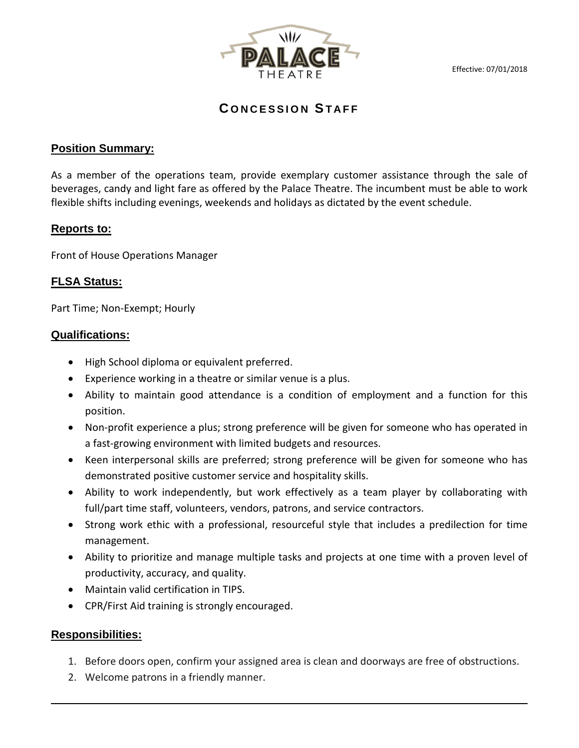Effective: 07/01/2018



**C ONCESSION STAFF**

# **Position Summary:**

As a member of the operations team, provide exemplary customer assistance through the sale of beverages, candy and light fare as offered by the Palace Theatre. The incumbent must be able to work flexible shifts including evenings, weekends and holidays as dictated by the event schedule.

# **Reports to:**

Front of House Operations Manager

# **FLSA Status:**

Part Time; Non-Exempt; Hourly

# **Qualifications:**

- High School diploma or equivalent preferred.
- Experience working in a theatre or similar venue is a plus.
- Ability to maintain good attendance is a condition of employment and a function for this position.
- Non-profit experience a plus; strong preference will be given for someone who has operated in a fast-growing environment with limited budgets and resources.
- Keen interpersonal skills are preferred; strong preference will be given for someone who has demonstrated positive customer service and hospitality skills.
- Ability to work independently, but work effectively as a team player by collaborating with full/part time staff, volunteers, vendors, patrons, and service contractors.
- Strong work ethic with a professional, resourceful style that includes a predilection for time management.
- Ability to prioritize and manage multiple tasks and projects at one time with a proven level of productivity, accuracy, and quality.
- Maintain valid certification in TIPS.
- CPR/First Aid training is strongly encouraged.

# **Responsibilities:**

- 1. Before doors open, confirm your assigned area is clean and doorways are free of obstructions.
- 2. Welcome patrons in a friendly manner.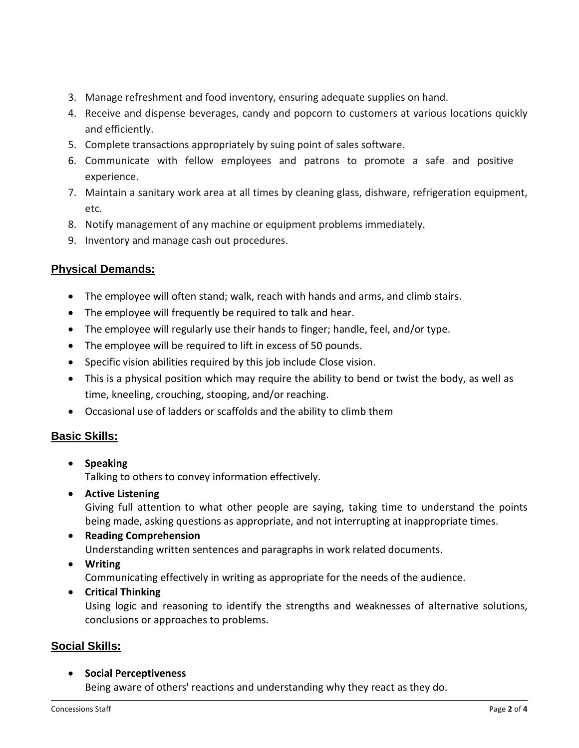- 3. Manage refreshment and food inventory, ensuring adequate supplies on hand.
- 4. Receive and dispense beverages, candy and popcorn to customers at various locations quickly and efficiently.
- 5. Complete transactions appropriately by suing point of sales software.
- 6. Communicate with fellow employees and patrons to promote a safe and positive experience.
- 7. Maintain a sanitary work area at all times by cleaning glass, dishware, refrigeration equipment, etc.
- 8. Notify management of any machine or equipment problems immediately.
- 9. Inventory and manage cash out procedures.

# **Physical Demands:**

- The employee will often stand; walk, reach with hands and arms, and climb stairs.
- The employee will frequently be required to talk and hear.
- The employee will regularly use their hands to finger; handle, feel, and/or type.
- The employee will be required to lift in excess of 50 pounds.
- Specific vision abilities required by this job include Close vision.
- This is a physical position which may require the ability to bend or twist the body, as well as time, kneeling, crouching, stooping, and/or reaching.
- Occasional use of ladders or scaffolds and the ability to climb them

# **Basic Skills:**

• **Speaking**

Talking to others to convey information effectively.

• **Active Listening**

Giving full attention to what other people are saying, taking time to understand the points being made, asking questions as appropriate, and not interrupting at inappropriate times.

# • **Reading Comprehension**

Understanding written sentences and paragraphs in work related documents.

• **Writing**

Communicating effectively in writing as appropriate for the needs of the audience.

• **Critical Thinking**

Using logic and reasoning to identify the strengths and weaknesses of alternative solutions, conclusions or approaches to problems.

# **Social Skills:**

• **Social Perceptiveness** Being aware of others' reactions and understanding why they react as they do.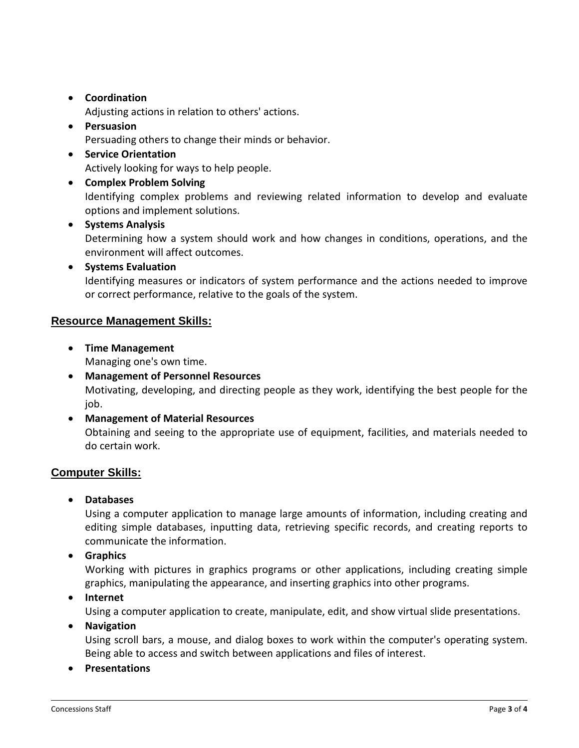# • **Coordination**

Adjusting actions in relation to others' actions.

• **Persuasion**

Persuading others to change their minds or behavior.

- **Service Orientation** Actively looking for ways to help people.
- **Complex Problem Solving**

Identifying complex problems and reviewing related information to develop and evaluate options and implement solutions.

#### • **Systems Analysis**

Determining how a system should work and how changes in conditions, operations, and the environment will affect outcomes.

#### • **Systems Evaluation**

Identifying measures or indicators of system performance and the actions needed to improve or correct performance, relative to the goals of the system.

#### **Resource Management Skills:**

• **Time Management**

Managing one's own time.

- **Management of Personnel Resources** Motivating, developing, and directing people as they work, identifying the best people for the job.
- **Management of Material Resources** Obtaining and seeing to the appropriate use of equipment, facilities, and materials needed to do certain work.

# **Computer Skills:**

• **Databases**

Using a computer application to manage large amounts of information, including creating and editing simple databases, inputting data, retrieving specific records, and creating reports to communicate the information.

• **Graphics**

Working with pictures in graphics programs or other applications, including creating simple graphics, manipulating the appearance, and inserting graphics into other programs.

• **Internet**

Using a computer application to create, manipulate, edit, and show virtual slide presentations.

#### • **Navigation**

Using scroll bars, a mouse, and dialog boxes to work within the computer's operating system. Being able to access and switch between applications and files of interest.

• **Presentations**